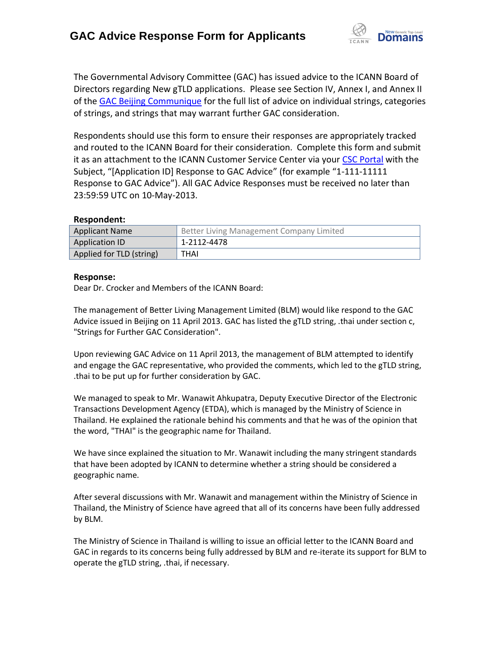

The Governmental Advisory Committee (GAC) has issued advice to the ICANN Board of Directors regarding New gTLD applications. Please see Section IV, Annex I, and Annex II of the [GAC Beijing Communique](http://www.icann.org/en/news/correspondence/gac-to-board-18apr13-en.pdf) for the full list of advice on individual strings, categories of strings, and strings that may warrant further GAC consideration.

Respondents should use this form to ensure their responses are appropriately tracked and routed to the ICANN Board for their consideration. Complete this form and submit it as an attachment to the ICANN Customer Service Center via your CSC [Portal](https://myicann.secure.force.com/) with the Subject, "[Application ID] Response to GAC Advice" (for example "1-111-11111 Response to GAC Advice"). All GAC Advice Responses must be received no later than 23:59:59 UTC on 10-May-2013.

## **Respondent:**

| <b>Applicant Name</b>    | <sup>1</sup> Better Living Management Company Limited |
|--------------------------|-------------------------------------------------------|
| Application ID           | 1-2112-4478                                           |
| Applied for TLD (string) | THAI                                                  |

## **Response:**

Dear Dr. Crocker and Members of the ICANN Board:

The management of Better Living Management Limited (BLM) would like respond to the GAC Advice issued in Beijing on 11 April 2013. GAC has listed the gTLD string, .thai under section c, "Strings for Further GAC Consideration".

Upon reviewing GAC Advice on 11 April 2013, the management of BLM attempted to identify and engage the GAC representative, who provided the comments, which led to the gTLD string, .thai to be put up for further consideration by GAC.

We managed to speak to Mr. Wanawit Ahkupatra, Deputy Executive Director of the Electronic Transactions Development Agency (ETDA), which is managed by the Ministry of Science in Thailand. He explained the rationale behind his comments and that he was of the opinion that the word, "THAI" is the geographic name for Thailand.

We have since explained the situation to Mr. Wanawit including the many stringent standards that have been adopted by ICANN to determine whether a string should be considered a geographic name.

After several discussions with Mr. Wanawit and management within the Ministry of Science in Thailand, the Ministry of Science have agreed that all of its concerns have been fully addressed by BLM.

The Ministry of Science in Thailand is willing to issue an official letter to the ICANN Board and GAC in regards to its concerns being fully addressed by BLM and re-iterate its support for BLM to operate the gTLD string, .thai, if necessary.